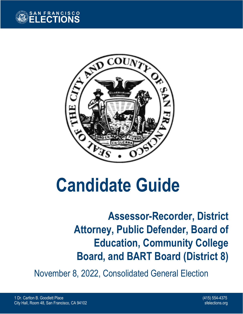



# **Candidate Guide**

**Assessor-Recorder, District Attorney, Public Defender, Board of Education, Community College Board, and BART Board (District 8)**

November 8, 2022, Consolidated General Election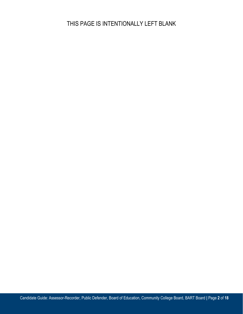# THIS PAGE IS INTENTIONALLY LEFT BLANK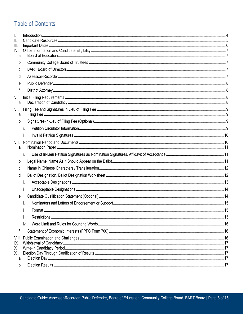# **Table of Contents**

| I.<br>II.    |                |        |    |
|--------------|----------------|--------|----|
| III.         |                |        |    |
| IV.          |                |        |    |
| a.           |                |        |    |
| b.           |                |        |    |
| C.           |                |        |    |
| d.           |                |        |    |
| е.           |                |        |    |
| f.           |                |        |    |
| V.<br>a.     |                |        |    |
| VI.<br>a.    |                |        |    |
| b.           |                |        |    |
|              | i.             |        |    |
|              | ii.            |        |    |
| VII.<br>a.   |                |        |    |
|              | İ.             |        |    |
| b.           |                |        |    |
| C.           |                |        |    |
| d.           |                |        |    |
|              | $\mathbf{I}$ . |        |    |
|              | ii.            |        |    |
| е.           |                |        |    |
|              | i.             |        |    |
|              | ii.            | Format | 15 |
|              | iii.           |        |    |
|              | iv.            |        |    |
|              |                |        |    |
| f.           |                |        |    |
| VIII.<br>IX. |                |        |    |
| Х.           |                |        |    |
| XI.          |                |        |    |
| a.           |                |        |    |
| b.           |                |        |    |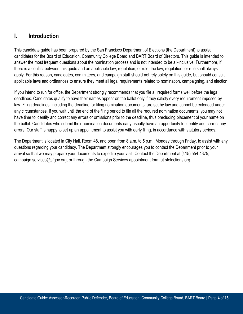# <span id="page-3-0"></span>**I. Introduction**

This candidate guide has been prepared by the San Francisco Department of Elections (the Department) to assist candidates for the Board of Education, Community College Board and BART Board of Directors. This guide is intended to answer the most frequent questions about the nomination process and is not intended to be all-inclusive. Furthermore, if there is a conflict between this guide and an applicable law, regulation, or rule, the law, regulation, or rule shall always apply. For this reason, candidates, committees, and campaign staff should not rely solely on this guide, but should consult applicable laws and ordinances to ensure they meet all legal requirements related to nomination, campaigning, and election.

If you intend to run for office, the Department strongly recommends that you file all required forms well before the legal deadlines. Candidates qualify to have their names appear on the ballot only if they satisfy every requirement imposed by law. Filing deadlines, including the deadline for filing nomination documents, are set by law and cannot be extended under any circumstances. If you wait until the end of the filing period to file all the required nomination documents, you may not have time to identify and correct any errors or omissions prior to the deadline, thus precluding placement of your name on the ballot. Candidates who submit their nomination documents early usually have an opportunity to identify and correct any errors. Our staff is happy to set up an appointment to assist you with early filing, in accordance with statutory periods.

The Department is located in City Hall, Room 48, and open from 8 a.m. to 5 p.m., Monday through Friday, to assist with any questions regarding your candidacy. The Department strongly encourages you to contact the Department prior to your arrival so that we may prepare your documents to expedite your visit. Contact the Department at (415) 554-4375, campaign.services@sfgov.org, or through the Campaign Services appointment form at sfelections.org.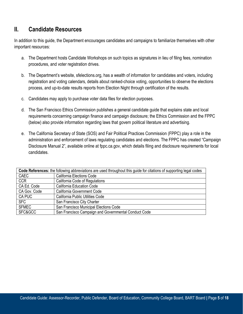# <span id="page-4-0"></span>**II. Candidate Resources**

In addition to this guide, the Department encourages candidates and campaigns to familiarize themselves with other important resources:

- a. The Department hosts Candidate Workshops on such topics as signatures in lieu of filing fees, nomination procedures, and voter registration drives.
- b. The Department's website, sfelections.org, has a wealth of information for candidates and voters, including registration and voting calendars, details about ranked-choice voting, opportunities to observe the elections process, and up-to-date results reports from Election Night through certification of the results.
- c. Candidates may apply to purchase voter data files for election purposes.
- d. The San Francisco Ethics Commission publishes a general candidate guide that explains state and local requirements concerning campaign finance and campaign disclosure; the Ethics Commission and the FPPC (below) also provide information regarding laws that govern political literature and advertising.
- e. The California Secretary of State (SOS) and Fair Political Practices Commission (FPPC) play a role in the administration and enforcement of laws regulating candidates and elections. The FPPC has created "Campaign Disclosure Manual 2", available online at fppc.ca.gov, which details filing and disclosure requirements for local candidates.

| Code References: the following abbreviations are used throughout this guide for citations of supporting legal codes |                                                      |  |  |  |  |
|---------------------------------------------------------------------------------------------------------------------|------------------------------------------------------|--|--|--|--|
| CAEC                                                                                                                | <b>California Elections Code</b>                     |  |  |  |  |
| <b>CCR</b>                                                                                                          | California Code of Regulations                       |  |  |  |  |
| CA Ed. Code                                                                                                         | California Education Code                            |  |  |  |  |
| CA Gov. Code                                                                                                        | California Government Code                           |  |  |  |  |
| CA PUC                                                                                                              | California Public Utilities Code                     |  |  |  |  |
| <b>SFC</b>                                                                                                          | San Francisco City Charter                           |  |  |  |  |
| <b>SFMEC</b>                                                                                                        | San Francisco Municipal Elections Code               |  |  |  |  |
| SFC&GCC                                                                                                             | San Francisco Campaign and Governmental Conduct Code |  |  |  |  |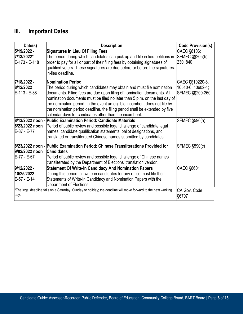# <span id="page-5-0"></span>**III. Important Dates**

| Date(s)        | <b>Description</b>                                                                                             | <b>Code Provision(s)</b> |
|----------------|----------------------------------------------------------------------------------------------------------------|--------------------------|
| 5/19/2022 -    | <b>Signatures In Lieu Of Filing Fees</b>                                                                       | CAEC §8106;              |
| 7/13/2022*     | The period during which candidates can pick up and file in-lieu petitions in                                   | $SFMEC$ §§205(b),        |
| E-173 - E-118  | order to pay for all or part of their filing fees by obtaining signatures of                                   | 230, 840                 |
|                | qualified voters. These signatures are due before or before the signatures-<br>in-lieu deadline.               |                          |
| 7/18/2022 -    | Nomination Period                                                                                              | CAEC §§10220-8,          |
| 8/12/2022      | The period during which candidates may obtain and must file nomination                                         | 10510-6, 10602-4;        |
| E-113 - E-88   | documents. Filing fees are due upon filing of nomination documents. All                                        | <b>SFMEC §§200-260</b>   |
|                | nomination documents must be filed no later than 5 p.m. on the last day of                                     |                          |
|                | the nomination period. In the event an eligible incumbent does not file by                                     |                          |
|                | the nomination period deadline, the filing period shall be extended by five                                    |                          |
|                | calendar days for candidates other than the incumbent.                                                         |                          |
|                | 8/13/2022 noon - Public Examination Period: Candidate Materials                                                | <b>SFMEC §590(a)</b>     |
| 8/23/2022 noon | Period of public review and possible legal challenge of candidate legal                                        |                          |
| E-87 - E-77    | names, candidate qualification statements, ballot designations, and                                            |                          |
|                | translated or transliterated Chinese names submitted by candidates.                                            |                          |
|                | 8/23/2022 noon - Public Examination Period: Chinese Transliterations Provided for                              | SFMEC §590(c)            |
| 9/02/2022 noon | <b>Candidates</b>                                                                                              |                          |
| IE-77 - E-67   | Period of public review and possible legal challenge of Chinese names                                          |                          |
|                | transliterated by the Department of Elections' translation vendor.                                             |                          |
| 9/12/2022 -    | <b>Statement Of Write-In Candidacy And Nomination Papers</b>                                                   | <b>CAEC §8601</b>        |
| 10/25/2022     | During this period, all write-in candidates for any office must file their                                     |                          |
| E-57 - E-14    | Statements of Write-In Candidacy and Nomination Papers with the                                                |                          |
|                | Department of Elections.                                                                                       |                          |
|                | *The legal deadline falls on a Saturday, Sunday or holiday; the deadline will move forward to the next working | CA Gov. Code             |
| day.           |                                                                                                                | §6707                    |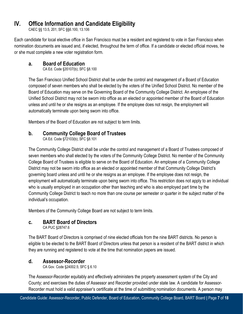# <span id="page-6-0"></span>**IV. Office Information and Candidate Eligibility**

CAEC §§ 13.5, 201; SFC §§6.100, 13.106

Each candidate for local elective office in San Francisco must be a resident and registered to vote in San Francisco when nomination documents are issued and, if elected, throughout the term of office. If a candidate or elected official moves, he or she must complete a new voter registration form.

## <span id="page-6-1"></span>**a. Board of Education**

CA Ed. Code §35107(b); SFC §8.100

The San Francisco Unified School District shall be under the control and management of a Board of Education composed of seven members who shall be elected by the voters of the Unified School District. No member of the Board of Education may serve on the Governing Board of the Community College District. An employee of the Unified School District may not be sworn into office as an elected or appointed member of the Board of Education unless and until he or she resigns as an employee. If the employee does not resign, the employment will automatically terminate upon being sworn into office.

Members of the Board of Education are not subject to term limits.

# <span id="page-6-2"></span>**b. Community College Board of Trustees**

CA Ed. Code §72103(b); SFC §8.101

The Community College District shall be under the control and management of a Board of Trustees composed of seven members who shall elected by the voters of the Community College District. No member of the Community College Board of Trustees is eligible to serve on the Board of Education. An employee of a Community College District may not be sworn into office as an elected or appointed member of that Community College District's governing board unless and until he or she resigns as an employee. If the employee does not resign, the employment will automatically terminate upon being sworn into office. This restriction does not apply to an individual who is usually employed in an occupation other than teaching and who is also employed part time by the Community College District to teach no more than one course per semester or quarter in the subject matter of the individual's occupation.

Members of the Community College Board are not subject to term limits.

# <span id="page-6-3"></span>**c. BART Board of Directors**

CA PUC §28747.6

The BART Board of Directors is comprised of nine elected officials from the nine BART districts. No person is eligible to be elected to the BART Board of Directors unless that person is a resident of the BART district in which they are running and registered to vote at the time that nomination papers are issued.

## <span id="page-6-4"></span>**d. Assessor-Recorder**

CA Gov. Code §24002.5; SFC § 6.10

The Assessor-Recorder equitably and effectively administers the property assessment system of the City and County; and exercises the duties of Assessor and Recorder provided under state law. A candidate for Assessor-Recorder must hold a valid appraiser's certificate at the time of submitting nomination documents. A person may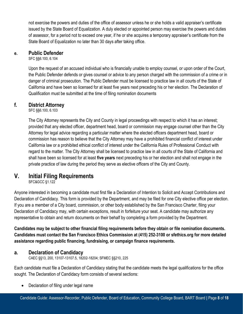not exercise the powers and duties of the office of assessor unless he or she holds a valid appraiser's certificate issued by the State Board of Equalization. A duly elected or appointed person may exercise the powers and duties of assessor, for a period not to exceed one year, if he or she acquires a temporary appraiser's certificate from the State Board of Equalization no later than 30 days after taking office.

#### <span id="page-7-0"></span>**e. Public Defender**

SFC §§6.100, 6.104

Upon the request of an accused individual who is financially unable to employ counsel, or upon order of the Court, the Public Defender defends or gives counsel or advice to any person charged with the commission of a crime or in danger of criminal prosecution. The Public Defender must be licensed to practice law in all courts of the State of California and have been so licensed for at least five years next preceding his or her election. The Declaration of Qualification must be submitted at the time of filing nomination documents

## <span id="page-7-1"></span>**f. District Attorney**

SFC §§6.100, 6.103

The City Attorney represents the City and County in legal proceedings with respect to which it has an interest; provided that any elected officer, department head, board or commission may engage counsel other than the City Attorney for legal advice regarding a particular matter where the elected officers department head, board or commission has reason to believe that the City Attorney may have a prohibited financial conflict of interest under California law or a prohibited ethical conflict of interest under the California Rules of Professional Conduct with regard to the matter. The City Attorney shall be licensed to practice law in all courts of the State of California and shall have been so licensed for at least **five years** next preceding his or her election and shall not engage in the private practice of law during the period they serve as elective officers of the City and County.

# <span id="page-7-2"></span>**V. Initial Filing Requirements**

SFC&GCC §1.122

Anyone interested in becoming a candidate must first file a Declaration of Intention to Solicit and Accept Contributions and Declaration of Candidacy. This form is provided by the Department, and may be filed for one City elective office per election. If you are a member of a City board, commission, or other body established by the San Francisco Charter, filing your Declaration of Candidacy may, with certain exceptions, result in forfeiture your seat. A candidate may authorize any representative to obtain and return documents on their behalf by completing a form provided by the Department.

**Candidates may be subject to other financial filing requirements before they obtain or file nomination documents. Candidates must contact the San Francisco Ethics Commission at (415) 252-3100 or sfethics.org for more detailed assistance regarding public financing, fundraising, or campaign finance requirements.**

## <span id="page-7-3"></span>**a. Declaration of Candidacy**

CAEC §§13, 200, 13107-13107.5, 18202-18204; SFMEC §§210, 225

Each candidate must file a Declaration of Candidacy stating that the candidate meets the legal qualifications for the office sought. The Declaration of Candidacy form consists of several sections:

• Declaration of filing under legal name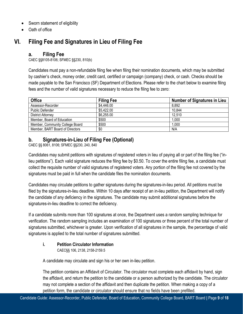- Sworn statement of eligibility
- Oath of office

# <span id="page-8-1"></span><span id="page-8-0"></span>**VI. Filing Fee and Signatures in Lieu of Filing Fee**

## **a. Filing Fee**

CAEC §§8105-8106; SFMEC §§230, 810(b)

Candidates must pay a non-refundable filing fee when filing their nomination documents, which may be submitted by cashier's check, money order, credit card, certified or campaign (company) check, or cash. Checks should be made payable to the San Francisco (SF) Department of Elections. Please refer to the chart below to examine filing fees and the number of valid signatures necessary to reduce the filing fee to zero:

| <b>Office</b>                   | <b>Filing Fee</b> | <b>Number of Signatures in Lieu</b> |
|---------------------------------|-------------------|-------------------------------------|
| Assessor-Recorder               | \$4,446.00        | 8,892                               |
| Public Defender                 | \$5,422.00        | 10,844                              |
| District Attorney               | \$6,255.00        | 12,510                              |
| Member, Board of Education      | \$500             | 1,000                               |
| Member, Community College Board | \$500             | 1,000                               |
| Member, BART Board of Directors | \$0               | N/A                                 |

# <span id="page-8-2"></span>**b. Signatures-in-Lieu of Filing Fee (Optional)**

CAEC §§ 8061, 8106; SFMEC §§230, 240, 840

Candidates may submit petitions with signatures of registered voters in lieu of paying all or part of the filing fee ("inlieu petitions"). Each valid signature reduces the filing fee by \$0.50. To cover the entire filing fee, a candidate must collect the requisite number of valid signatures of registered voters. Any portion of the filing fee not covered by the signatures must be paid in full when the candidate files the nomination documents.

Candidates may circulate petitions to gather signatures during the signatures-in-lieu period. All petitions must be filed by the signatures-in-lieu deadline. Within 10 days after receipt of an in-lieu petition, the Department will notify the candidate of any deficiency in the signatures. The candidate may submit additional signatures before the signatures-in-lieu deadline to correct the deficiency.

If a candidate submits more than 100 signatures at once, the Department uses a random sampling technique for verification. The random sampling includes an examination of 100 signatures or three percent of the total number of signatures submitted, whichever is greater. Upon verification of all signatures in the sample, the percentage of valid signatures is applied to the total number of signatures submitted.

## <span id="page-8-3"></span>**i. Petition Circulator Information**

CAEC§§ 106, 2138, 2158-2159.5

A candidate may circulate and sign his or her own in-lieu petition.

The petition contains an Affidavit of Circulator. The circulator must complete each affidavit by hand, sign the affidavit, and return the petition to the candidate or a person authorized by the candidate. The circulator may not complete a section of the affidavit and then duplicate the petition. When making a copy of a petition form, the candidate or circulator should ensure that no fields have been prefilled.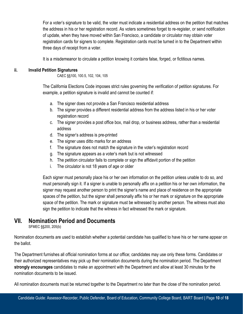For a voter's signature to be valid, the voter must indicate a residential address on the petition that matches the address in his or her registration record. As voters sometimes forget to re-register, or send notification of update, when they have moved within San Francisco, a candidate or circulator may obtain voter registration cards for signers to complete. Registration cards must be turned in to the Department within three days of receipt from a voter.

It is a misdemeanor to circulate a petition knowing it contains false, forged, or fictitious names.

#### <span id="page-9-0"></span>**ii. Invalid Petition Signatures**

CAEC §§100, 100.5, 102, 104, 105

The California Elections Code imposes strict rules governing the verification of petition signatures. For example, a petition signature is invalid and cannot be counted if:

- a. The signer does not provide a San Francisco residential address
- b. The signer provides a different residential address from the address listed in his or her voter registration record
- c. The signer provides a post office box, mail drop, or business address, rather than a residential address
- d. The signer's address is pre-printed
- e. The signer uses ditto marks for an address
- f. The signature does not match the signature in the voter's registration record
- g. The signature appears as a voter's mark but is not witnessed
- h. The petition circulator fails to complete or sign the affidavit portion of the petition
- i. The circulator is not 18 years of age or older

Each signer must personally place his or her own information on the petition unless unable to do so, and must personally sign it. If a signer is unable to personally affix on a petition his or her own information, the signer may request another person to print the signer's name and place of residence on the appropriate spaces of the petition, but the signer shall personally affix his or her mark or signature on the appropriate space of the petition. The mark or signature must be witnessed by another person. The witness must also sign the petition to indicate that the witness in fact witnessed the mark or signature.

# <span id="page-9-1"></span>**VII. Nomination Period and Documents**

SFMEC §§200, 205(b)

Nomination documents are used to establish whether a potential candidate has qualified to have his or her name appear on the ballot.

The Department furnishes all official nomination forms at our office; candidates may use only these forms. Candidates or their authorized representatives may pick up their nomination documents during the nomination period. The Department **strongly encourages** candidates to make an appointment with the Department and allow at least 30 minutes for the nomination documents to be issued.

All nomination documents must be returned together to the Department no later than the close of the nomination period.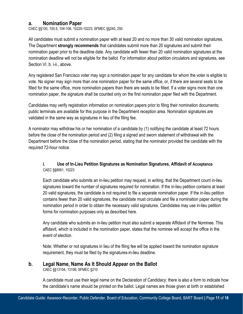## <span id="page-10-0"></span>**a. Nomination Paper**

CAEC §§100, 100.5, 104-106, 10220-10223; SFMEC §§240, 250

All candidates must submit a nomination paper with at least 20 and no more than 30 valid nomination signatures. The Department **strongly recommends** that candidates submit more than 20 signatures and submit their nomination paper prior to the deadline date. Any candidate with fewer than 20 valid nomination signatures at the nomination deadline will not be eligible for the ballot. For information about petition circulators and signatures, see Section VI. b. i-ii., above.

Any registered San Francisco voter may sign a nomination paper for any candidate for whom the voter is eligible to vote. No signer may sign more than one nomination paper for the same office, or, if there are several seats to be filled for the same office, more nomination papers than there are seats to be filled. If a voter signs more than one nomination paper, the signature shall be counted only on the first nomination paper filed with the Department.

Candidates may verify registration information on nomination papers prior to filing their nomination documents; public terminals are available for this purpose in the Department reception area. Nomination signatures are validated in the same way as signatures in lieu of the filing fee.

A nominator may withdraw his or her nomination of a candidate by (1) notifying the candidate at least 72 hours before the close of the nomination period and (2) filing a signed and sworn statement of withdrawal with the Department before the close of the nomination period, stating that the nominator provided the candidate with the required 72-hour notice.

#### <span id="page-10-1"></span>**i. Use of In-Lieu Petition Signatures as Nomination Signatures, Affidavit of Acceptance** CAEC §§8061, 10223

Each candidate who submits an in-lieu petition may request, in writing, that the Department count in-lieu signatures toward the number of signatures required for nomination. If the in-lieu petition contains at least 20 valid signatures, the candidate is not required to file a separate nomination paper. If the in-lieu petition contains fewer than 20 valid signatures, the candidate must circulate and file a nomination paper during the nomination period in order to obtain the necessary valid signatures. Candidates may use in-lieu petition forms for nomination purposes only as described here.

Any candidate who submits an in-lieu petition must also submit a separate Affidavit of the Nominee. This affidavit, which is included in the nomination paper, states that the nominee will accept the office in the event of election.

Note: Whether or not signatures in lieu of the filing fee will be applied toward the nomination signature requirement, they must be filed by the signatures-in-lieu deadline.

## <span id="page-10-2"></span>**b. Legal Name, Name As It Should Appear on the Ballot**

CAEC §§13104, 13106; SFMEC §210

A candidate must use their legal name on the Declaration of Candidacy; there is also a form to indicate how the candidate's name should be printed on the ballot. Legal names are those given at birth or established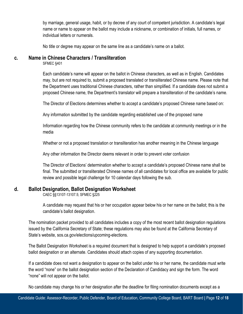by marriage, general usage, habit, or by decree of any court of competent jurisdiction. A candidate's legal name or name to appear on the ballot may include a nickname, or combination of initials, full names, or individual letters or numerals.

No title or degree may appear on the same line as a candidate's name on a ballot.

## <span id="page-11-0"></span>**c. Name in Chinese Characters / Transliteration**

SFMEC §401

Each candidate's name will appear on the ballot in Chinese characters, as well as in English. Candidates may, but are not required to, submit a proposed translated or transliterated Chinese name. Please note that the Department uses traditional Chinese characters, rather than simplified. If a candidate does not submit a proposed Chinese name, the Department's translator will prepare a transliteration of the candidate's name.

The Director of Elections determines whether to accept a candidate's proposed Chinese name based on:

Any information submitted by the candidate regarding established use of the proposed name

Information regarding how the Chinese community refers to the candidate at community meetings or in the media

Whether or not a proposed translation or transliteration has another meaning in the Chinese language

Any other information the Director deems relevant in order to prevent voter confusion

The Director of Elections' determination whether to accept a candidate's proposed Chinese name shall be final. The submitted or transliterated Chinese names of all candidates for local office are available for public review and possible legal challenge for 10 calendar days following the sub.

## <span id="page-11-1"></span>**d. Ballot Designation, Ballot Designation Worksheet**

CAEC §§13107-13107.5; SFMEC §225

A candidate may request that his or her occupation appear below his or her name on the ballot; this is the candidate's ballot designation.

The nomination packet provided to all candidates includes a copy of the most recent ballot designation regulations issued by the California Secretary of State; these regulations may also be found at the California Secretary of State's website, sos.ca.gov/elections/upcoming-elections.

The Ballot Designation Worksheet is a required document that is designed to help support a candidate's proposed ballot designation or an alternate. Candidates should attach copies of any supporting documentation.

If a candidate does not want a designation to appear on the ballot under his or her name, the candidate must write the word "none" on the ballot designation section of the Declaration of Candidacy and sign the form. The word "none" will not appear on the ballot.

No candidate may change his or her designation after the deadline for filing nomination documents except as a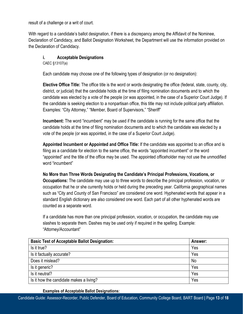result of a challenge or a writ of court.

<span id="page-12-0"></span>With regard to a candidate's ballot designation, if there is a discrepancy among the Affidavit of the Nominee, Declaration of Candidacy, and Ballot Designation Worksheet, the Department will use the information provided on the Declaration of Candidacy.

**i. Acceptable Designations** CAEC §13107(a)

Each candidate may choose one of the following types of designation (or no designation):

**Elective Office Title:** The office title is the word or words designating the office (federal, state, county, city, district, or judicial) that the candidate holds at the time of filing nomination documents and to which the candidate was elected by a vote of the people (or was appointed, in the case of a Superior Court Judge). If the candidate is seeking election to a nonpartisan office, this title may not include political party affiliation. Examples: "City Attorney," "Member, Board of Supervisors," "Sheriff"

**Incumbent:** The word "incumbent" may be used if the candidate is running for the same office that the candidate holds at the time of filing nomination documents and to which the candidate was elected by a vote of the people (or was appointed, in the case of a Superior Court Judge).

**Appointed Incumbent or Appointed and Office Title:** If the candidate was appointed to an office and is filing as a candidate for election to the same office, the words "appointed incumbent" or the word "appointed" and the title of the office may be used. The appointed officeholder may not use the unmodified word "incumbent"

**No More than Three Words Designating the Candidate's Principal Professions, Vocations, or Occupations:** The candidate may use up to three words to describe the principal profession, vocation, or occupation that he or she currently holds or held during the preceding year. California geographical names such as "City and County of San Francisco" are considered one word. Hyphenated words that appear in a standard English dictionary are also considered one word. Each part of all other hyphenated words are counted as a separate word.

If a candidate has more than one principal profession, vocation, or occupation, the candidate may use slashes to separate them. Dashes may be used only if required in the spelling. Example: "Attorney/Accountant"

| <b>Basic Test of Acceptable Ballot Designation:</b> | <b>Answer:</b> |
|-----------------------------------------------------|----------------|
| Is it true?                                         | Yes            |
| Is it factually accurate?                           | Yes            |
| Does it mislead?                                    | No             |
| Is it generic?                                      | Yes            |
| Is it neutral?                                      | Yes            |
| Is it how the candidate makes a living?             | Yes            |

#### **Examples of Acceptable Ballot Designations:**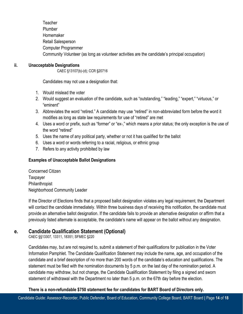**Teacher** Plumber Homemaker Retail Salesperson Computer Programmer Community Volunteer (as long as volunteer activities are the candidate's principal occupation)

#### <span id="page-13-0"></span>**ii. Unacceptable Designations**

CAEC §13107(b)-(d); CCR §20716

Candidates may not use a designation that:

- 1. Would mislead the voter
- 2. Would suggest an evaluation of the candidate, such as "outstanding," "leading," "expert," "virtuous," or "eminent"
- 3. Abbreviates the word "retired." A candidate may use "retired" in non-abbreviated form before the word it modifies as long as state law requirements for use of "retired" are met
- 4. Uses a word or prefix, such as "former" or "ex-," which means a prior status; the only exception is the use of the word "retired"
- 5. Uses the name of any political party, whether or not it has qualified for the ballot
- 6. Uses a word or words referring to a racial, religious, or ethnic group
- 7. Refers to any activity prohibited by law

#### **Examples of Unacceptable Ballot Designations**

Concerned Citizen Taxpayer Philanthropist Neighborhood Community Leader

If the Director of Elections finds that a proposed ballot designation violates any legal requirement, the Department will contact the candidate immediately. Within three business days of receiving this notification, the candidate must provide an alternative ballot designation. If the candidate fails to provide an alternative designation or affirm that a previously listed alternate is acceptable, the candidate's name will appear on the ballot without any designation.

# <span id="page-13-1"></span>**e. Candidate Qualification Statement (Optional)**

CAEC §§13307, 13311, 18351; SFMEC §220

Candidates may, but are not required to, submit a statement of their qualifications for publication in the Voter Information Pamphlet. The Candidate Qualification Statement may include the name, age, and occupation of the candidate and a brief description of no more than 200 words of the candidate's education and qualifications. The statement must be filed with the nomination documents by 5 p.m. on the last day of the nomination period. A candidate may withdraw, but not change, the Candidate Qualification Statement by filing a signed and sworn statement of withdrawal with the Department no later than 5 p.m. on the 67th day before the election.

**There is a non-refundable \$750 statement fee for candidates for BART Board of Directors only.**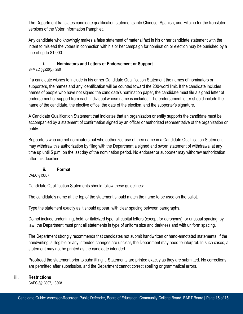The Department translates candidate qualification statements into Chinese, Spanish, and Filipino for the translated versions of the Voter Information Pamphlet.

Any candidate who knowingly makes a false statement of material fact in his or her candidate statement with the intent to mislead the voters in connection with his or her campaign for nomination or election may be punished by a fine of up to \$1,000.

#### <span id="page-14-0"></span>**i. Nominators and Letters of Endorsement or Support** SFMEC §§220(c), 250

If a candidate wishes to include in his or her Candidate Qualification Statement the names of nominators or supporters, the names and any identification will be counted toward the 200-word limit. If the candidate includes names of people who have not signed the candidate's nomination paper, the candidate must file a signed letter of endorsement or support from each individual whose name is included. The endorsement letter should include the name of the candidate, the elective office, the date of the election, and the supporter's signature.

A Candidate Qualification Statement that indicates that an organization or entity supports the candidate must be accompanied by a statement of confirmation signed by an officer or authorized representative of the organization or entity.

Supporters who are not nominators but who authorized use of their name in a Candidate Qualification Statement may withdraw this authorization by filing with the Department a signed and sworn statement of withdrawal at any time up until 5 p.m. on the last day of the nomination period. No endorser or supporter may withdraw authorization after this deadline.

#### <span id="page-14-1"></span>**ii. Format** CAEC §13307

Candidate Qualification Statements should follow these guidelines:

The candidate's name at the top of the statement should match the name to be used on the ballot.

Type the statement exactly as it should appear, with clear spacing between paragraphs.

Do not include underlining, bold, or italicized type, all capital letters (except for acronyms), or unusual spacing; by law, the Department must print all statements in type of uniform size and darkness and with uniform spacing.

The Department strongly recommends that candidates not submit handwritten or hand-annotated statements. If the handwriting is illegible or any intended changes are unclear, the Department may need to interpret. In such cases, a statement may not be printed as the candidate intended.

Proofread the statement prior to submitting it. Statements are printed exactly as they are submitted. No corrections are permitted after submission, and the Department cannot correct spelling or grammatical errors.

#### <span id="page-14-2"></span>**iii. Restrictions**

CAEC §§13307, 13308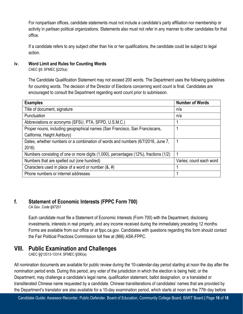For nonpartisan offices, candidate statements must not include a candidate's party affiliation nor membership or activity in partisan political organizations. Statements also must not refer in any manner to other candidates for that office.

If a candidate refers to any subject other than his or her qualifications, the candidate could be subject to legal action.

#### <span id="page-15-0"></span>**iv. Word Limit and Rules for Counting Words**

CAEC §9; SFMEC §220(a)

The Candidate Qualification Statement may not exceed 200 words. The Department uses the following guidelines for counting words. The decision of the Director of Elections concerning word count is final. Candidates are encouraged to consult the Department regarding word count prior to submission.

| <b>Examples</b>                                                                      | <b>Number of Words</b>  |
|--------------------------------------------------------------------------------------|-------------------------|
| Title of document, signature                                                         | n/a                     |
| <b>Punctuation</b>                                                                   | n/a                     |
| Abbreviations or acronyms (SFSU, PTA, SFPD, U.S.M.C.)                                | 1                       |
| Proper nouns, including geographical names (San Francisco, San Franciscans,          | 1                       |
| California, Haight Ashbury)                                                          |                         |
| Dates, whether numbers or a combination of words and numbers (6/7/2016, June 7,      | -1                      |
| 2016)                                                                                |                         |
| Numbers consisting of one or more digits (1,000), percentages (12%), fractions (1/2) | 1                       |
| Numbers that are spelled out (one hundred)                                           | Varies; count each word |
| Characters used in place of a word or number $(8, \#)$                               | 1                       |
| Phone numbers or internet addresses                                                  | 1                       |

# <span id="page-15-1"></span>**f. Statement of Economic Interests (FPPC Form 700)**

CA Gov. Code §87201

Each candidate must file a Statement of Economic Interests (Form 700) with the Department, disclosing investments, interests in real property, and any income received during the immediately preceding 12 months. Forms are available from our office or at fppc.ca.gov. Candidates with questions regarding this form should contact the Fair Political Practices Commission toll free at (866) ASK-FPPC.

# <span id="page-15-2"></span>**VIII. Public Examination and Challenges**

CAEC §§13313-13314; SFMEC §590(a)

All nomination documents are available for public review during the 10-calendar-day period starting at noon the day after the nomination period ends. During this period, any voter of the jurisdiction in which the election is being held, or the Department, may challenge a candidate's legal name, qualification statement, ballot designation, or a translated or transliterated Chinese name requested by a candidate. Chinese transliterations of candidates' names that are provided by the Department's translator are also available for a 10-day examination period, which starts at noon on the 77th day before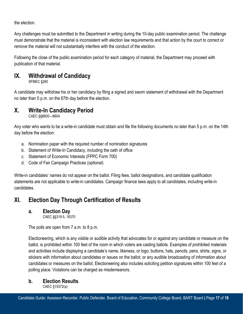the election.

Any challenges must be submitted to the Department in writing during the 10-day public examination period. The challenge must demonstrate that the material is inconsistent with election law requirements and that action by the court to correct or remove the material will not substantially interfere with the conduct of the election.

Following the close of the public examination period for each category of material, the Department may proceed with publication of that material.

# <span id="page-16-0"></span>**IX. Withdrawal of Candidacy**

SFMEC §260

A candidate may withdraw his or her candidacy by filing a signed and sworn statement of withdrawal with the Department no later than 5 p.m. on the 67th day before the election.

# <span id="page-16-1"></span>**X. Write-In Candidacy Period**

CAEC §§8600—8604

Any voter who wants to be a write-in candidate must obtain and file the following documents no later than 5 p.m. on the 14th day before the election:

- a. Nomination paper with the required number of nomination signatures
- b. Statement of Write-In Candidacy, including the oath of office
- c. Statement of Economic Interests (FPPC Form 700)
- d. Code of Fair Campaign Practices (optional)

Write-in candidates' names do not appear on the ballot. Filing fees, ballot designations, and candidate qualification statements are not applicable to write-in candidates. Campaign finance laws apply to all candidates, including write-in candidates.

# <span id="page-16-3"></span><span id="page-16-2"></span>**XI. Election Day Through Certification of Results**

## **a. Election Day**

CAEC §§319.5, 18370

The polls are open from 7 a.m. to 8 p.m.

Electioneering, which is any visible or audible activity that advocates for or against any candidate or measure on the ballot, is prohibited within 100 feet of the room in which voters are casting ballots. Examples of prohibited materials and activities include displaying a candidate's name, likeness, or logo; buttons, hats, pencils, pens, shirts, signs, or stickers with information about candidates or issues on the ballot; or any audible broadcasting of information about candidates or measures on the ballot. Electioneering also includes soliciting petition signatures within 100 feet of a polling place. Violations can be charged as misdemeanors.

# <span id="page-16-4"></span>**b. Election Results**

CAEC §15372(a)